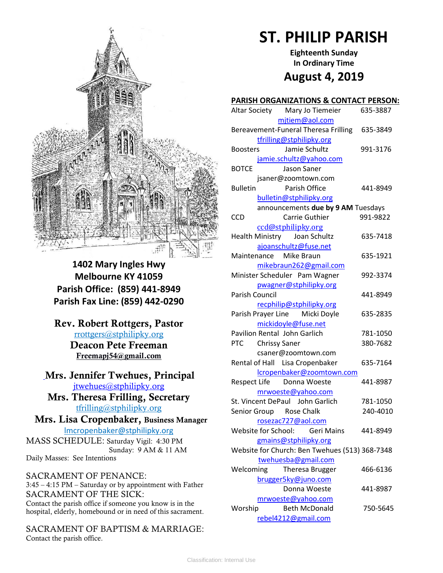

**1402 Mary Ingles Hwy Melbourne KY 41059 Parish Office: (859) 441-8949 Parish Fax Line: (859) 442-0290**

**Rev. Robert Rottgers, Pastor**  [rrottgers@stphilipky.org](mailto:rrottgers@stphilipky.org) **Deacon Pete Freeman Freemapj54@gmail.com**

# **Mrs. Jennifer Twehues, Principal** [jtwehues@stphilipky.org](mailto:jtwehues@stphilipky.org)

**Mrs. Theresa Frilling, Secretary**  [tfrilling@stphilipky.org](mailto:tfrilling@stphilipky.org)

 **Mrs. Lisa Cropenbaker, Business Manager**  lmcropenbaker@stphilipky.org

MASS SCHEDULE: Saturday Vigil: 4:30 PM Sunday: 9 AM & 11 AM Daily Masses: See Intentions

SACRAMENT OF PENANCE: 3:45 – 4:15 PM – Saturday or by appointment with Father SACRAMENT OF THE SICK: Contact the parish office if someone you know is in the hospital, elderly, homebound or in need of this sacrament.

SACRAMENT OF BAPTISM & MARRIAGE: Contact the parish office.

# **ST. PHILIP PARISH**

**Eighteenth Sunday In Ordinary Time August 4, 2019**

#### **PARISH ORGANIZATIONS & CONTACT PERSON:**

| Altar Society Mary Jo Tiemeier                       | 635-3887 |
|------------------------------------------------------|----------|
| mitiem@aol.com                                       |          |
| Bereavement-Funeral Theresa Frilling                 | 635-3849 |
| tfrilling@stphilipky.org                             |          |
| Jamie Schultz<br><b>Boosters</b>                     | 991-3176 |
| jamie.schultz@yahoo.com                              |          |
| <b>BOTCE</b><br>Jason Saner                          |          |
| jsaner@zoomtown.com                                  |          |
| Parish Office<br><b>Bulletin</b>                     | 441-8949 |
| bulletin@stphilipky.org                              |          |
| announcements due by 9 AM Tuesdays                   |          |
| Carrie Guthier<br><b>CCD</b>                         | 991-9822 |
| ccd@stphilipky.org                                   |          |
| Health Ministry Joan Schultz                         | 635-7418 |
| ajoanschultz@fuse.net                                |          |
| Maintenance Mike Braun                               | 635-1921 |
| mikebraun262@gmail.com                               |          |
| Minister Scheduler Pam Wagner                        | 992-3374 |
| pwagner@stphilipky.org                               |          |
| Parish Council                                       | 441-8949 |
| recphilip@stphilipky.org                             |          |
| Parish Prayer Line Micki Doyle                       | 635-2835 |
| mickidoyle@fuse.net                                  |          |
| Pavilion Rental John Garlich                         | 781-1050 |
| PTC Chrissy Saner                                    | 380-7682 |
| csaner@zoomtown.com                                  |          |
| Rental of Hall Lisa Cropenbaker                      | 635-7164 |
| lcropenbaker@zoomtown.com                            |          |
| Respect Life Donna Woeste                            | 441-8987 |
| mrwoeste@yahoo.com                                   |          |
| St. Vincent DePaul John Garlich                      | 781-1050 |
| Senior Group Rose Chalk                              | 240-4010 |
|                                                      |          |
| rosezac727@aol.com<br>Website for School: Geri Mains | 441-8949 |
|                                                      |          |
| gmains@stphilipky.org                                |          |
| Website for Church: Ben Twehues (513) 368-7348       |          |
| twehuesba@gmail.com                                  |          |
| Welcoming<br>Theresa Brugger                         | 466-6136 |
| brugger5ky@juno.com                                  |          |
| Donna Woeste                                         | 441-8987 |
| mrwoeste@yahoo.com                                   |          |
| Worship<br><b>Beth McDonald</b>                      | 750-5645 |
| rebel4212@gmail.com                                  |          |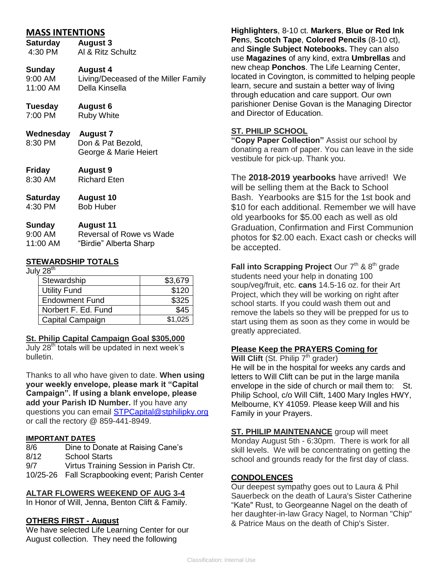## **MASS INTENTIONS**

**Saturday August 3** 4:30 PM Al & Ritz Schultz

#### **Sunday August 4**

9:00 AM Living/Deceased of the Miller Family<br>11:00 AM Della Kinsella Della Kinsella

**Tuesday August 6**

7:00 PM Ruby White

- **Wednesday August 7**
- 8:30 PM Don & Pat Bezold, George & Marie Heiert
- **Friday August 9** 8:30 AM Richard Eten
- **Saturday August 10**
- 4:30 PM Bob Huber

| Sunday              | <b>August 11</b>         |
|---------------------|--------------------------|
| $9:00 \, \text{AM}$ | Reversal of Rowe vs Wade |
| 11:00 AM            | "Birdie" Alberta Sharp   |

## **STEWARDSHIP TOTALS**

July 28<sup>th</sup>

| Stewardship           | \$3,679 |
|-----------------------|---------|
| <b>Utility Fund</b>   | \$120   |
| <b>Endowment Fund</b> | \$325   |
| Norbert F. Ed. Fund   | \$45    |
| Capital Campaign      | \$1,025 |

## **St. Philip Capital Campaign Goal \$305,000**

July  $28<sup>th</sup>$  totals will be updated in next week's bulletin.

Thanks to all who have given to date. **When using your weekly envelope, please mark it "Capital Campaign". If using a blank envelope, please add your Parish ID Number.** If you have any questions you can email [STPCapital@stphilipky.org](mailto:STPCapital@stphilipky.org) or call the rectory @ 859-441-8949.

#### **IMPORTANT DATES**

8/6 Dine to Donate at Raising Cane's 8/12 School Starts 9/7 Virtus Training Session in Parish Ctr. 10/25-26 Fall Scrapbooking event; Parish Center

## **ALTAR FLOWERS WEEKEND OF AUG 3-4**

In Honor of Will, Jenna, Benton Clift & Family.

## **OTHERS FIRST - August**

We have selected Life Learning Center for our August collection. They need the following

**Highlighters**, 8-10 ct. **Markers**, **Blue or Red Ink Pen**s, **Scotch Tape**, **Colored Pencils** (8-10 ct), and **Single Subject Notebooks.** They can also use **Magazines** of any kind, extra **Umbrellas** and new cheap **Ponchos**. The Life Learning Center, located in Covington, is committed to helping people learn, secure and sustain a better way of living through education and care support. Our own parishioner Denise Govan is the Managing Director and Director of Education.

## **ST. PHILIP SCHOOL**

**"Copy Paper Collection"** Assist our school by donating a ream of paper. You can leave in the side vestibule for pick-up. Thank you.

The **2018-2019 yearbooks** have arrived! We will be selling them at the Back to School Bash. Yearbooks are \$15 for the 1st book and \$10 for each additional. Remember we will have old yearbooks for \$5.00 each as well as old Graduation, Confirmation and First Communion photos for \$2.00 each. Exact cash or checks will be accepted.

**Fall into Scrapping Project** Our  $7<sup>th</sup>$  &  $8<sup>th</sup>$  grade students need your help in donating 100 soup/veg/fruit, etc. **cans** 14.5-16 oz. for their Art Project, which they will be working on right after school starts. If you could wash them out and remove the labels so they will be prepped for us to start using them as soon as they come in would be greatly appreciated.

## **Please Keep the PRAYERS Coming for**

**Will Clift** (St. Philip 7<sup>th</sup> grader) He will be in the hospital for weeks any cards and letters to Will Clift can be put in the large manila envelope in the side of church or mail them to: St. Philip School, c/o Will Clift, 1400 Mary Ingles HWY, Melbourne, KY 41059. Please keep Will and his Family in your Prayers.

**ST. PHILIP MAINTENANCE** group will meet Monday August 5th - 6:30pm. There is work for all skill levels. We will be concentrating on getting the school and grounds ready for the first day of class.

## **CONDOLENCES**

Our deepest sympathy goes out to Laura & Phil Sauerbeck on the death of Laura's Sister Catherine "Kate" Rust, to Georgeanne Nagel on the death of her daughter-in-law Gracy Nagel, to Norman "Chip" & Patrice Maus on the death of Chip's Sister.